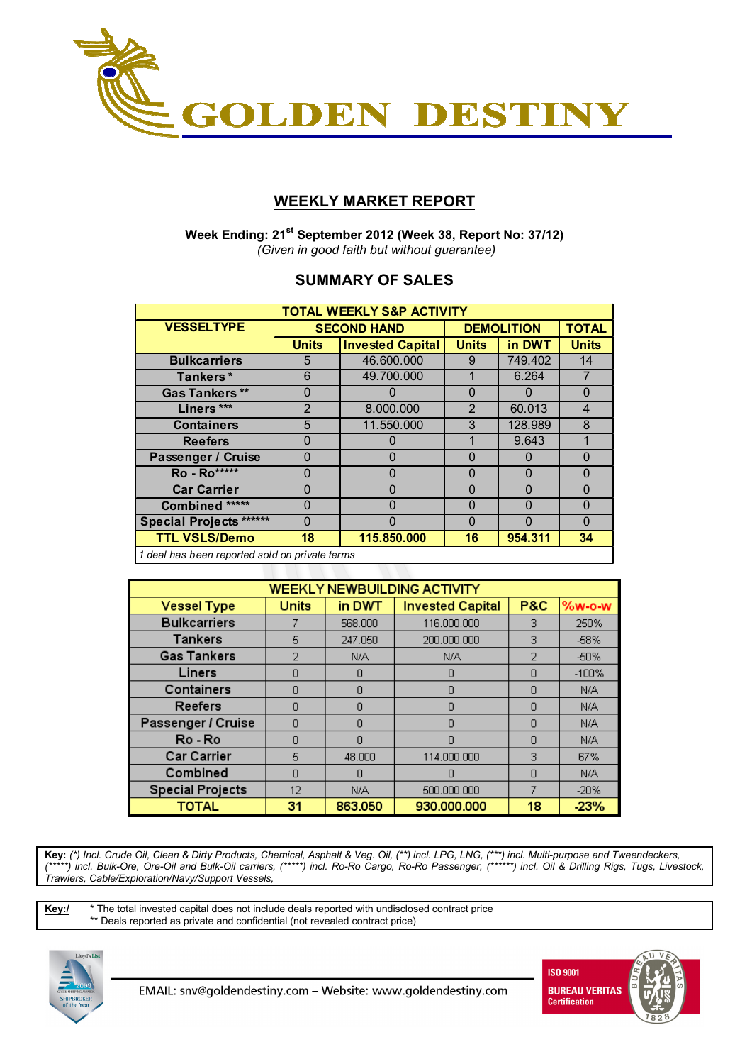

## **WEEKLY MARKET REPORT**

 **Week Ending: 21st September 2012 (Week 38, Report No: 37/12)**   *(Given in good faith but without guarantee)* 

## **SUMMARY OF SALES**

| <b>TOTAL WEEKLY S&amp;P ACTIVITY</b>           |              |                         |              |                   |                         |  |  |  |  |
|------------------------------------------------|--------------|-------------------------|--------------|-------------------|-------------------------|--|--|--|--|
| <b>VESSELTYPE</b>                              |              | <b>SECOND HAND</b>      |              | <b>DEMOLITION</b> |                         |  |  |  |  |
|                                                | <b>Units</b> | <b>Invested Capital</b> | <b>Units</b> | in DWT            | <b>Units</b>            |  |  |  |  |
| <b>Bulkcarriers</b>                            | 5            | 46.600.000              | 9            | 749.402           | 14                      |  |  |  |  |
| Tankers*                                       | 6            | 49.700.000              |              | 6.264             | $\overline{7}$          |  |  |  |  |
| <b>Gas Tankers</b> **                          | 0            |                         | $\Omega$     |                   | $\Omega$                |  |  |  |  |
| Liners ***                                     | 2            | 8.000.000               | 2            | 60.013            | $\overline{\mathbf{4}}$ |  |  |  |  |
| <b>Containers</b>                              | 5            | 11.550.000              | 3            | 128.989           | 8                       |  |  |  |  |
| <b>Reefers</b>                                 | 0            | 0                       |              | 9.643             | 1                       |  |  |  |  |
| Passenger / Cruise                             | ი            | 0                       | $\Omega$     | 0                 | $\Omega$                |  |  |  |  |
| Ro - Ro*****                                   | 0            | 0                       | $\Omega$     | 0                 | $\Omega$                |  |  |  |  |
| <b>Car Carrier</b>                             | 0            | $\Omega$                | $\Omega$     | $\Omega$          | $\Omega$                |  |  |  |  |
| Combined *****                                 | 0            | $\Omega$                | $\Omega$     | O                 | $\Omega$                |  |  |  |  |
| <b>Special Projects ******</b>                 | 0            | ŋ                       | O            | O                 | $\Omega$                |  |  |  |  |
| <b>TTL VSLS/Demo</b>                           | 18           | 115.850.000             | 16           | 954.311           | 34                      |  |  |  |  |
| 1 deal has heen renorted sold on private terms |              |                         |              |                   |                         |  |  |  |  |

*1 deal has been reported sold on private terms*

| <b>WEEKLY NEWBUILDING ACTIVITY</b> |              |         |                         |                |         |  |  |  |  |
|------------------------------------|--------------|---------|-------------------------|----------------|---------|--|--|--|--|
| <b>Vessel Type</b>                 | <b>Units</b> | in DWT  | <b>Invested Capital</b> | <b>P&amp;C</b> | %w-o-w  |  |  |  |  |
| <b>Bulkcarriers</b>                |              | 568,000 | 116.000.000             | 3              | 250%    |  |  |  |  |
| <b>Tankers</b>                     | 5            | 247.050 | 200.000.000             | 3              | $-58%$  |  |  |  |  |
| <b>Gas Tankers</b>                 | 2            | N/A     | N/A                     | $\overline{2}$ | $-50%$  |  |  |  |  |
| Liners                             | Ω            | n       | n                       | n              | $-100%$ |  |  |  |  |
| Containers                         | Ω            | Ω       | Π                       | Ω              | N/A     |  |  |  |  |
| <b>Reefers</b>                     | n            | Ω       | Π                       | n              | N/A     |  |  |  |  |
| Passenger / Cruise                 | n            | n       | n                       | n              | N/A     |  |  |  |  |
| Ro-Ro                              | Ω            | Π       | n                       | n              | N/A     |  |  |  |  |
| <b>Car Carrier</b>                 | 5            | 48,000  | 114.000.000             | 3              | 67%     |  |  |  |  |
| Combined                           | Ω            | n       |                         | n              | N/A     |  |  |  |  |
| <b>Special Projects</b>            | 12           | N/A     | 500,000,000             | 7              | $-20%$  |  |  |  |  |
| <b>TOTAL</b>                       | 31           | 863.050 | 930.000.000             | 18             | 23%     |  |  |  |  |

**Key:** *(\*) Incl. Crude Oil, Clean & Dirty Products, Chemical, Asphalt & Veg. Oil, (\*\*) incl. LPG, LNG, (\*\*\*) incl. Multi-purpose and Tweendeckers, (\*\*\*\*\*) incl. Bulk-Ore, Ore-Oil and Bulk-Oil carriers, (\*\*\*\*\*) incl. Ro-Ro Cargo, Ro-Ro Passenger, (\*\*\*\*\*\*) incl. Oil & Drilling Rigs, Tugs, Livestock, Trawlers, Cable/Exploration/Navy/Support Vessels,* 

**Key:/** \* The total invested capital does not include deals reported with undisclosed contract price \*\* Deals reported as private and confidential (not revealed contract price)



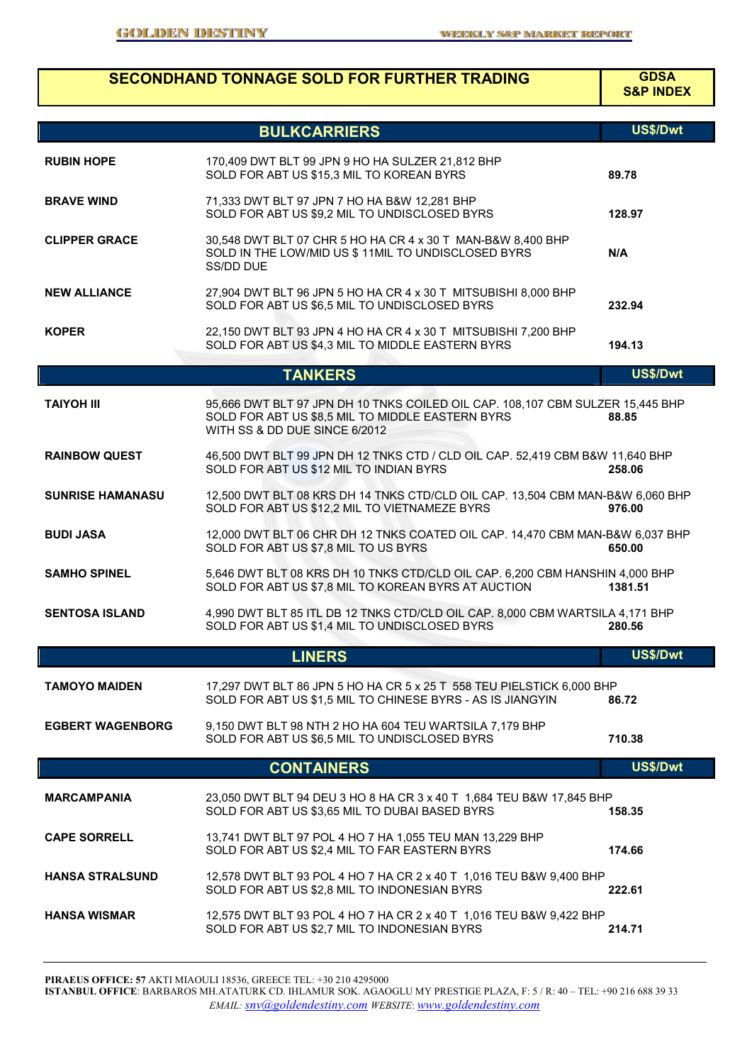|                         | <b>SECONDHAND TONNAGE SOLD FOR FURTHER TRADING</b>                                                                                                                  | <b>GDSA</b><br><b>S&amp;P INDEX</b> |
|-------------------------|---------------------------------------------------------------------------------------------------------------------------------------------------------------------|-------------------------------------|
|                         | <b>BULKCARRIERS</b>                                                                                                                                                 | US\$/Dwt                            |
| <b>RUBIN HOPE</b>       | 170,409 DWT BLT 99 JPN 9 HO HA SULZER 21,812 BHP<br>SOLD FOR ABT US \$15,3 MIL TO KOREAN BYRS                                                                       | 89.78                               |
| <b>BRAVE WIND</b>       | 71,333 DWT BLT 97 JPN 7 HO HA B&W 12,281 BHP<br>SOLD FOR ABT US \$9,2 MIL TO UNDISCLOSED BYRS                                                                       | 128.97                              |
| <b>CLIPPER GRACE</b>    | 30,548 DWT BLT 07 CHR 5 HO HA CR 4 x 30 T MAN-B&W 8,400 BHP<br>SOLD IN THE LOW/MID US \$ 11MIL TO UNDISCLOSED BYRS<br>SS/DD DUE                                     | N/A                                 |
| <b>NEW ALLIANCE</b>     | 27,904 DWT BLT 96 JPN 5 HO HA CR 4 x 30 T MITSUBISHI 8,000 BHP<br>SOLD FOR ABT US \$6,5 MIL TO UNDISCLOSED BYRS                                                     | 232.94                              |
| <b>KOPER</b>            | 22,150 DWT BLT 93 JPN 4 HO HA CR 4 x 30 T MITSUBISHI 7,200 BHP<br>SOLD FOR ABT US \$4,3 MIL TO MIDDLE EASTERN BYRS                                                  | 194.13                              |
|                         | <b>TANKERS</b>                                                                                                                                                      | US\$/Dwt                            |
| <b>TAIYOH III</b>       | 95,666 DWT BLT 97 JPN DH 10 TNKS COILED OIL CAP. 108,107 CBM SULZER 15,445 BHP<br>SOLD FOR ABT US \$8,5 MIL TO MIDDLE EASTERN BYRS<br>WITH SS & DD DUE SINCE 6/2012 | 88.85                               |
| <b>RAINBOW QUEST</b>    | 46,500 DWT BLT 99 JPN DH 12 TNKS CTD / CLD OIL CAP. 52,419 CBM B&W 11,640 BHP<br>SOLD FOR ABT US \$12 MIL TO INDIAN BYRS                                            | 258.06                              |
| <b>SUNRISE HAMANASU</b> | 12,500 DWT BLT 08 KRS DH 14 TNKS CTD/CLD OIL CAP. 13,504 CBM MAN-B&W 6,060 BHP<br>SOLD FOR ABT US \$12,2 MIL TO VIETNAMEZE BYRS                                     | 976.00                              |
| <b>BUDI JASA</b>        | 12,000 DWT BLT 06 CHR DH 12 TNKS COATED OIL CAP. 14,470 CBM MAN-B&W 6,037 BHP<br>SOLD FOR ABT US \$7,8 MIL TO US BYRS                                               | 650.00                              |
| <b>SAMHO SPINEL</b>     | 5,646 DWT BLT 08 KRS DH 10 TNKS CTD/CLD OIL CAP. 6,200 CBM HANSHIN 4,000 BHP<br>SOLD FOR ABT US \$7,8 MIL TO KOREAN BYRS AT AUCTION                                 | 1381.51                             |
| <b>SENTOSA ISLAND</b>   | 4,990 DWT BLT 85 ITL DB 12 TNKS CTD/CLD OIL CAP. 8,000 CBM WARTSILA 4,171 BHP<br>SOLD FOR ABT US \$1,4 MIL TO UNDISCLOSED BYRS                                      | 280.56                              |
|                         | <b>LINERS</b>                                                                                                                                                       | US\$/Dwt                            |
| <b>TAMOYO MAIDEN</b>    | 17,297 DWT BLT 86 JPN 5 HO HA CR 5 x 25 T 558 TEU PIELSTICK 6,000 BHP<br>SOLD FOR ABT US \$1,5 MIL TO CHINESE BYRS - AS IS JIANGYIN                                 | 86.72                               |
| <b>EGBERT WAGENBORG</b> | 9,150 DWT BLT 98 NTH 2 HO HA 604 TEU WARTSILA 7,179 BHP<br>SOLD FOR ABT US \$6,5 MIL TO UNDISCLOSED BYRS                                                            | 710.38                              |
|                         | <b>CONTAINERS</b>                                                                                                                                                   | US\$/Dwt                            |
| <b>MARCAMPANIA</b>      | 23,050 DWT BLT 94 DEU 3 HO 8 HA CR 3 x 40 T 1,684 TEU B&W 17,845 BHP<br>SOLD FOR ABT US \$3,65 MIL TO DUBAI BASED BYRS                                              | 158.35                              |
| <b>CAPE SORRELL</b>     | 13,741 DWT BLT 97 POL 4 HO 7 HA 1,055 TEU MAN 13,229 BHP<br>SOLD FOR ABT US \$2,4 MIL TO FAR EASTERN BYRS                                                           | 174.66                              |
| <b>HANSA STRALSUND</b>  | 12,578 DWT BLT 93 POL 4 HO 7 HA CR 2 x 40 T 1,016 TEU B&W 9,400 BHP<br>SOLD FOR ABT US \$2,8 MIL TO INDONESIAN BYRS                                                 | 222.61                              |
| <b>HANSA WISMAR</b>     | 12,575 DWT BLT 93 POL 4 HO 7 HA CR 2 x 40 T 1,016 TEU B&W 9,422 BHP<br>SOLD FOR ABT US \$2,7 MIL TO INDONESIAN BYRS                                                 | 214.71                              |

**PIRAEUS OFFICE: 57** AKTI MIAOULI 18536, GREECE TEL: +30 210 4295000 **ISTANBUL OFFICE**: BARBAROS MH.ATATURK CD. IHLAMUR SOK. AGAOGLU MY PRESTIGE PLAZA, F: 5 / R: 40 – TEL: +90 216 688 39 33 *EMAIL: snv@goldendestiny.com WEBSITE*: *www.goldendestiny.com*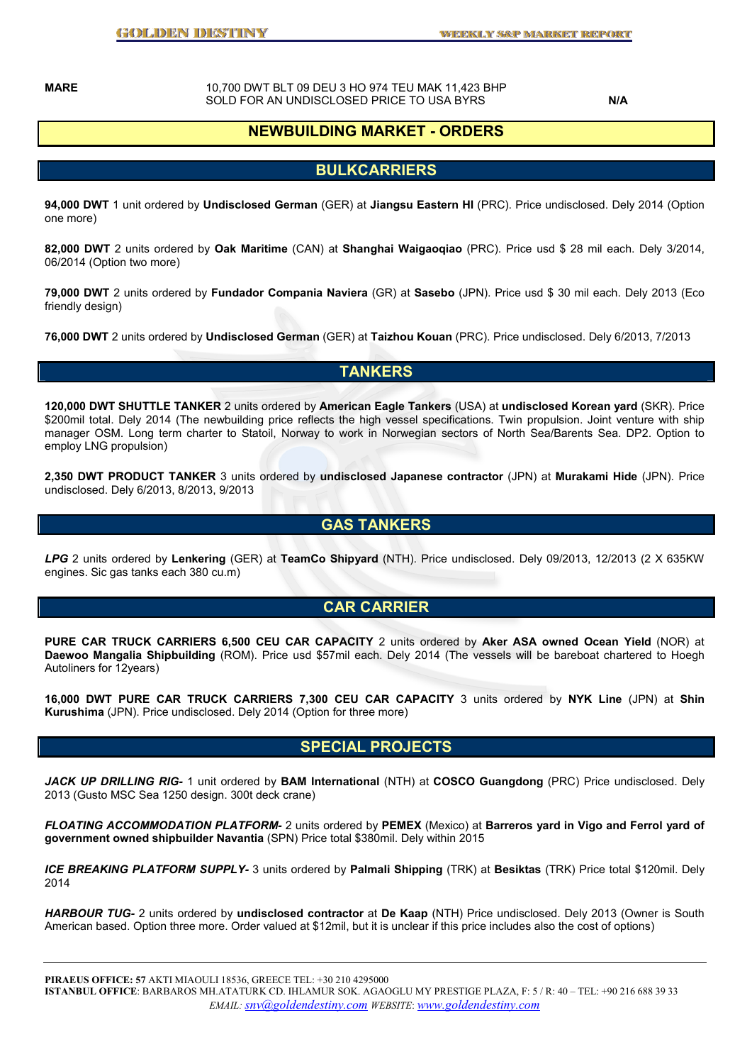**MARE** 10,700 DWT BLT 09 DEU 3 HO 974 TEU MAK 11,423 BHP SOLD FOR AN UNDISCLOSED PRICE TO USA BYRS **N/A** 

## **NEWBUILDING MARKET - ORDERS**

### **BULKCARRIERS**

**94,000 DWT** 1 unit ordered by **Undisclosed German** (GER) at **Jiangsu Eastern HI** (PRC). Price undisclosed. Dely 2014 (Option one more)

**82,000 DWT** 2 units ordered by **Oak Maritime** (CAN) at **Shanghai Waigaoqiao** (PRC). Price usd \$ 28 mil each. Dely 3/2014, 06/2014 (Option two more)

**79,000 DWT** 2 units ordered by **Fundador Compania Naviera** (GR) at **Sasebo** (JPN). Price usd \$ 30 mil each. Dely 2013 (Eco friendly design)

**76,000 DWT** 2 units ordered by **Undisclosed German** (GER) at **Taizhou Kouan** (PRC). Price undisclosed. Dely 6/2013, 7/2013

### **TANKERS**

**120,000 DWT SHUTTLE TANKER** 2 units ordered by **American Eagle Tankers** (USA) at **undisclosed Korean yard** (SKR). Price \$200mil total. Dely 2014 (The newbuilding price reflects the high vessel specifications. Twin propulsion. Joint venture with ship manager OSM. Long term charter to Statoil, Norway to work in Norwegian sectors of North Sea/Barents Sea. DP2. Option to employ LNG propulsion)

**2,350 DWT PRODUCT TANKER** 3 units ordered by **undisclosed Japanese contractor** (JPN) at **Murakami Hide** (JPN). Price undisclosed. Dely 6/2013, 8/2013, 9/2013

### **GAS TANKERS**

*LPG* 2 units ordered by **Lenkering** (GER) at **TeamCo Shipyard** (NTH). Price undisclosed. Dely 09/2013, 12/2013 (2 X 635KW engines. Sic gas tanks each 380 cu.m)

### **CAR CARRIER**

**PURE CAR TRUCK CARRIERS 6,500 CEU CAR CAPACITY** 2 units ordered by **Aker ASA owned Ocean Yield** (NOR) at **Daewoo Mangalia Shipbuilding** (ROM). Price usd \$57mil each. Dely 2014 (The vessels will be bareboat chartered to Hoegh Autoliners for 12years)

**16,000 DWT PURE CAR TRUCK CARRIERS 7,300 CEU CAR CAPACITY** 3 units ordered by **NYK Line** (JPN) at **Shin Kurushima** (JPN). Price undisclosed. Dely 2014 (Option for three more)

#### **SPECIAL PROJECTS**

*JACK UP DRILLING RIG-* 1 unit ordered by **BAM International** (NTH) at **COSCO Guangdong** (PRC) Price undisclosed. Dely 2013 (Gusto MSC Sea 1250 design. 300t deck crane)

*FLOATING ACCOMMODATION PLATFORM-* 2 units ordered by **PEMEX** (Mexico) at **Barreros yard in Vigo and Ferrol yard of government owned shipbuilder Navantia** (SPN) Price total \$380mil. Dely within 2015

*ICE BREAKING PLATFORM SUPPLY-* 3 units ordered by **Palmali Shipping** (TRK) at **Besiktas** (TRK) Price total \$120mil. Dely 2014

*HARBOUR TUG-* 2 units ordered by **undisclosed contractor** at **De Kaap** (NTH) Price undisclosed. Dely 2013 (Owner is South American based. Option three more. Order valued at \$12mil, but it is unclear if this price includes also the cost of options)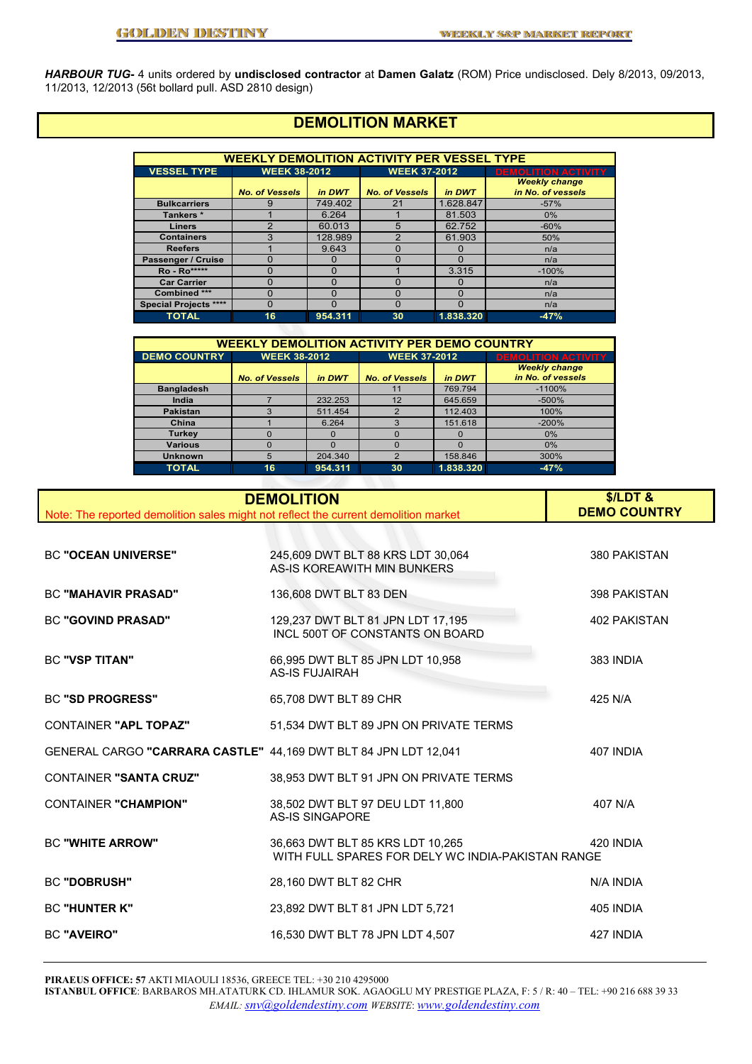*HARBOUR TUG-* 4 units ordered by **undisclosed contractor** at **Damen Galatz** (ROM) Price undisclosed. Dely 8/2013, 09/2013, 11/2013, 12/2013 (56t bollard pull. ASD 2810 design)

# **DEMOLITION MARKET**

| <b>WEEKLY DEMOLITION ACTIVITY PER VESSEL TYPE</b> |                                 |          |                       |           |                                           |  |  |  |
|---------------------------------------------------|---------------------------------|----------|-----------------------|-----------|-------------------------------------------|--|--|--|
| <b>VESSEL TYPE</b>                                | <b>WEEK 38-2012</b>             |          | <b>WEEK 37-2012</b>   |           | <b>DEMOLITION ACTIVITY</b>                |  |  |  |
|                                                   | <b>No. of Vessels</b><br>in DWT |          | <b>No. of Vessels</b> | in DWT    | <b>Weekly change</b><br>in No. of vessels |  |  |  |
| <b>Bulkcarriers</b>                               |                                 | 749.402  | 21                    | 1.628.847 | $-57%$                                    |  |  |  |
| Tankers*                                          |                                 | 6.264    |                       | 81.503    | 0%                                        |  |  |  |
| <b>Liners</b>                                     | ົ                               | 60.013   | 5                     | 62.752    | $-60%$                                    |  |  |  |
| <b>Containers</b>                                 |                                 | 128.989  | っ                     | 61.903    | 50%                                       |  |  |  |
| <b>Reefers</b>                                    |                                 | 9.643    | O                     | 0         | n/a                                       |  |  |  |
| Passenger / Cruise                                |                                 | 0        | O                     | $\Omega$  | n/a                                       |  |  |  |
| <b>Ro</b> - Ro*****                               |                                 | O        |                       | 3.315     | $-100%$                                   |  |  |  |
| <b>Car Carrier</b>                                |                                 | $\Omega$ | O                     | $\Omega$  | n/a                                       |  |  |  |
| Combined ***                                      |                                 | ŋ        | O                     | $\Omega$  | n/a                                       |  |  |  |
| <b>Special Projects ****</b>                      |                                 | Ω        | O                     | $\Omega$  | n/a                                       |  |  |  |
| <b>TOTAL</b>                                      | 16                              | 954.311  | 30                    | 1.838.320 | $-47%$                                    |  |  |  |

| <b>WEEKLY DEMOLITION ACTIVITY PER DEMO COUNTRY</b> |                                 |          |                       |           |                                           |  |  |  |
|----------------------------------------------------|---------------------------------|----------|-----------------------|-----------|-------------------------------------------|--|--|--|
| <b>DEMO COUNTRY</b>                                | <b>WEEK 38-2012</b>             |          | <b>WEEK 37-2012</b>   |           | <b>DEMOLITION ACTIVITY</b>                |  |  |  |
|                                                    | <b>No. of Vessels</b><br>in DWT |          | <b>No. of Vessels</b> | in DWT    | <b>Weekly change</b><br>in No. of vessels |  |  |  |
| <b>Bangladesh</b>                                  |                                 |          | 11                    | 769.794   | $-1100%$                                  |  |  |  |
| India                                              |                                 | 232.253  | 12                    | 645.659   | $-500%$                                   |  |  |  |
| Pakistan                                           | 3                               | 511.454  | $\mathfrak{p}$        | 112.403   | 100%                                      |  |  |  |
| China                                              |                                 | 6.264    | 3                     | 151.618   | $-200%$                                   |  |  |  |
| <b>Turkey</b>                                      |                                 | $\Omega$ | $\Omega$              | $\Omega$  | 0%                                        |  |  |  |
| <b>Various</b>                                     | O                               | ი        | $\Omega$              | $\Omega$  | 0%                                        |  |  |  |
| <b>Unknown</b>                                     | 5                               | 204.340  | C                     | 158.846   | 300%                                      |  |  |  |
| <b>TOTAL</b>                                       | 16                              | 954.311  | 30                    | 1.838.320 | $-47%$                                    |  |  |  |

| Note: The reported demolition sales might not reflect the current demolition market | <b>DEMOLITION</b>                                                                     | $$/LDT$ &<br><b>DEMO COUNTRY</b> |
|-------------------------------------------------------------------------------------|---------------------------------------------------------------------------------------|----------------------------------|
|                                                                                     |                                                                                       |                                  |
| <b>BC "OCEAN UNIVERSE"</b>                                                          | 245,609 DWT BLT 88 KRS LDT 30,064<br>AS-IS KOREAWITH MIN BUNKERS                      | 380 PAKISTAN                     |
| <b>BC "MAHAVIR PRASAD"</b>                                                          | 136,608 DWT BLT 83 DEN                                                                | 398 PAKISTAN                     |
| <b>BC "GOVIND PRASAD"</b>                                                           | 129,237 DWT BLT 81 JPN LDT 17,195<br>INCL 500T OF CONSTANTS ON BOARD                  | <b>402 PAKISTAN</b>              |
| <b>BC "VSP TITAN"</b>                                                               | 66,995 DWT BLT 85 JPN LDT 10,958<br><b>AS-IS FUJAIRAH</b>                             | 383 INDIA                        |
| <b>BC "SD PROGRESS"</b>                                                             | 65,708 DWT BLT 89 CHR                                                                 | 425 N/A                          |
| <b>CONTAINER "APL TOPAZ"</b>                                                        | 51,534 DWT BLT 89 JPN ON PRIVATE TERMS                                                |                                  |
| GENERAL CARGO "CARRARA CASTLE" 44,169 DWT BLT 84 JPN LDT 12,041                     |                                                                                       | 407 INDIA                        |
| <b>CONTAINER "SANTA CRUZ"</b>                                                       | 38,953 DWT BLT 91 JPN ON PRIVATE TERMS                                                |                                  |
| <b>CONTAINER "CHAMPION"</b>                                                         | 38,502 DWT BLT 97 DEU LDT 11,800<br><b>AS-IS SINGAPORE</b>                            | 407 N/A                          |
| <b>BC "WHITE ARROW"</b>                                                             | 36,663 DWT BLT 85 KRS LDT 10,265<br>WITH FULL SPARES FOR DELY WC INDIA-PAKISTAN RANGE | 420 INDIA                        |
| <b>BC "DOBRUSH"</b>                                                                 | 28,160 DWT BLT 82 CHR                                                                 | N/A INDIA                        |
| <b>BC "HUNTER K"</b>                                                                | 23,892 DWT BLT 81 JPN LDT 5,721                                                       | 405 INDIA                        |
| <b>BC "AVEIRO"</b>                                                                  | 16,530 DWT BLT 78 JPN LDT 4,507                                                       | 427 INDIA                        |

**PIRAEUS OFFICE: 57** AKTI MIAOULI 18536, GREECE TEL: +30 210 4295000

**ISTANBUL OFFICE**: BARBAROS MH.ATATURK CD. IHLAMUR SOK. AGAOGLU MY PRESTIGE PLAZA, F: 5 / R: 40 – TEL: +90 216 688 39 33 *EMAIL: snv@goldendestiny.com WEBSITE*: *www.goldendestiny.com*